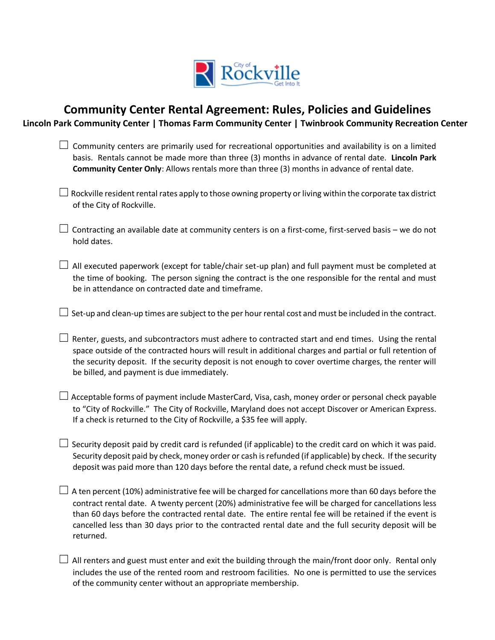

# **Community Center Rental Agreement: Rules, Policies and Guidelines**

**Lincoln Park Community Center | Thomas Farm Community Center | Twinbrook Community Recreation Center**

- $\Box$  Community centers are primarily used for recreational opportunities and availability is on a limited basis. Rentals cannot be made more than three (3) months in advance of rental date. **Lincoln Park Community Center Only**: Allows rentals more than three (3) months in advance of rental date.
- $\Box$  Rockville resident rental rates apply to those owning property or living within the corporate tax district of the City of Rockville.
- $\Box$  Contracting an available date at community centers is on a first-come, first-served basis we do not hold dates.
- $\Box$  All executed paperwork (except for table/chair set-up plan) and full payment must be completed at the time of booking. The person signing the contract is the one responsible for the rental and must be in attendance on contracted date and timeframe.

 $\Box$  Set-up and clean-up times are subject to the per hour rental cost and must be included in the contract.

- $\Box$  Renter, guests, and subcontractors must adhere to contracted start and end times. Using the rental space outside of the contracted hours will result in additional charges and partial or full retention of the security deposit. If the security deposit is not enough to cover overtime charges, the renter will be billed, and payment is due immediately.
- $\Box$  Acceptable forms of payment include MasterCard, Visa, cash, money order or personal check payable to "City of Rockville." The City of Rockville, Maryland does not accept Discover or American Express. If a check is returned to the City of Rockville, a \$35 fee will apply.
- $\Box$  Security deposit paid by credit card is refunded (if applicable) to the credit card on which it was paid. Security deposit paid by check, money order or cash is refunded (if applicable) by check. If the security deposit was paid more than 120 days before the rental date, a refund check must be issued.
- $□$  A ten percent (10%) administrative fee will be charged for cancellations more than 60 days before the contract rental date. A twenty percent (20%) administrative fee will be charged for cancellations less than 60 days before the contracted rental date. The entire rental fee will be retained if the event is cancelled less than 30 days prior to the contracted rental date and the full security deposit will be returned.
- $\Box$  All renters and guest must enter and exit the building through the main/front door only. Rental only includes the use of the rented room and restroom facilities. No one is permitted to use the services of the community center without an appropriate membership.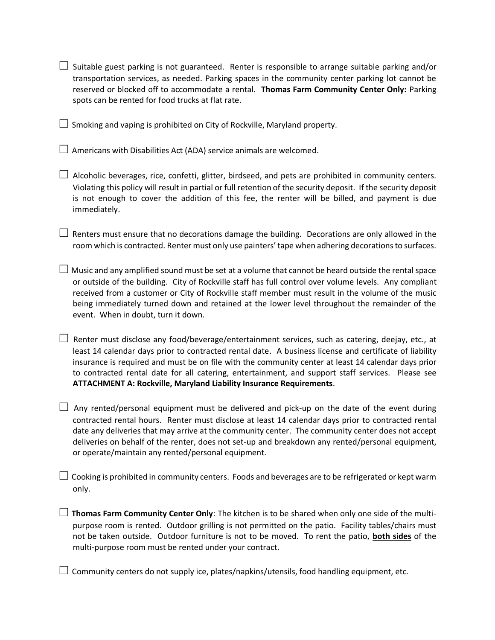- $\Box$  Suitable guest parking is not guaranteed. Renter is responsible to arrange suitable parking and/or transportation services, as needed. Parking spaces in the community center parking lot cannot be reserved or blocked off to accommodate a rental. **Thomas Farm Community Center Only:** Parking spots can be rented for food trucks at flat rate.
- $\Box$  Smoking and vaping is prohibited on City of Rockville, Maryland property.
- $\Box$  Americans with Disabilities Act (ADA) service animals are welcomed.
- $□$  Alcoholic beverages, rice, confetti, glitter, birdseed, and pets are prohibited in community centers. Violating this policy will result in partial or full retention of the security deposit. If the security deposit is not enough to cover the addition of this fee, the renter will be billed, and payment is due immediately.
- $\Box$  Renters must ensure that no decorations damage the building. Decorations are only allowed in the room which is contracted. Renter must only use painters'tape when adhering decorations to surfaces.
- $\Box$  Music and any amplified sound must be set at a volume that cannot be heard outside the rental space or outside of the building. City of Rockville staff has full control over volume levels. Any compliant received from a customer or City of Rockville staff member must result in the volume of the music being immediately turned down and retained at the lower level throughout the remainder of the event. When in doubt, turn it down.
- $□$  Renter must disclose any food/beverage/entertainment services, such as catering, deejay, etc., at least 14 calendar days prior to contracted rental date. A business license and certificate of liability insurance is required and must be on file with the community center at least 14 calendar days prior to contracted rental date for all catering, entertainment, and support staff services. Please see **ATTACHMENT A: Rockville, Maryland Liability Insurance Requirements**.
- $\Box$  Any rented/personal equipment must be delivered and pick-up on the date of the event during contracted rental hours. Renter must disclose at least 14 calendar days prior to contracted rental date any deliveries that may arrive at the community center. The community center does not accept deliveries on behalf of the renter, does not set-up and breakdown any rented/personal equipment, or operate/maintain any rented/personal equipment.
- $\Box$  Cooking is prohibited in community centers. Foods and beverages are to be refrigerated or kept warm only.
- ☐ **Thomas Farm Community Center Only**: The kitchen is to be shared when only one side of the multipurpose room is rented. Outdoor grilling is not permitted on the patio. Facility tables/chairs must not be taken outside. Outdoor furniture is not to be moved. To rent the patio, **both sides** of the multi-purpose room must be rented under your contract.
- $\Box$  Community centers do not supply ice, plates/napkins/utensils, food handling equipment, etc.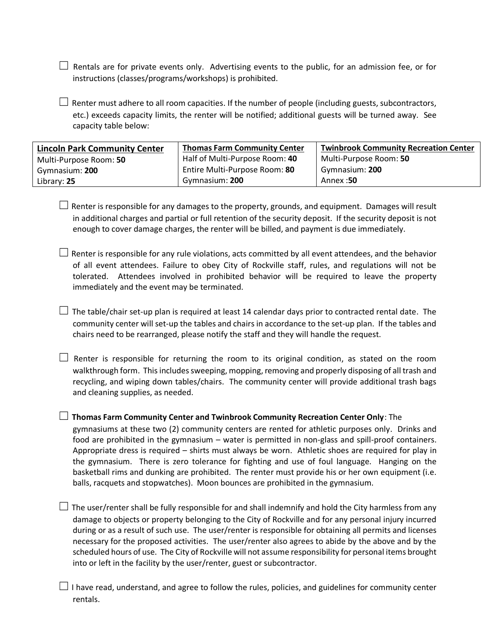$\Box$  Rentals are for private events only. Advertising events to the public, for an admission fee, or for instructions (classes/programs/workshops) is prohibited.

 $\Box$  Renter must adhere to all room capacities. If the number of people (including guests, subcontractors, etc.) exceeds capacity limits, the renter will be notified; additional guests will be turned away. See capacity table below:

| <b>Lincoln Park Community Center</b> | <b>Thomas Farm Community Center</b> | <b>Twinbrook Community Recreation Center</b> |
|--------------------------------------|-------------------------------------|----------------------------------------------|
| Multi-Purpose Room: 50               | Half of Multi-Purpose Room: 40      | Multi-Purpose Room: 50                       |
| Gymnasium: 200                       | Entire Multi-Purpose Room: 80       | Gymnasium: 200                               |
| Library: 25                          | Gymnasium: 200                      | Annex:50                                     |

 $\Box$  Renter is responsible for any damages to the property, grounds, and equipment. Damages will result in additional charges and partial or full retention of the security deposit. If the security deposit is not enough to cover damage charges, the renter will be billed, and payment is due immediately.

 $\Box$  Renter is responsible for any rule violations, acts committed by all event attendees, and the behavior of all event attendees. Failure to obey City of Rockville staff, rules, and regulations will not be tolerated. Attendees involved in prohibited behavior will be required to leave the property immediately and the event may be terminated.

 $\Box$  The table/chair set-up plan is required at least 14 calendar days prior to contracted rental date. The community center will set-up the tables and chairs in accordance to the set-up plan. If the tables and chairs need to be rearranged, please notify the staff and they will handle the request.

 $\Box$  Renter is responsible for returning the room to its original condition, as stated on the room walkthrough form. This includes sweeping, mopping, removing and properly disposing of all trash and recycling, and wiping down tables/chairs. The community center will provide additional trash bags and cleaning supplies, as needed.

☐ **Thomas Farm Community Center and Twinbrook Community Recreation Center Only**: The

gymnasiums at these two (2) community centers are rented for athletic purposes only. Drinks and food are prohibited in the gymnasium – water is permitted in non-glass and spill-proof containers. Appropriate dress is required – shirts must always be worn. Athletic shoes are required for play in the gymnasium. There is zero tolerance for fighting and use of foul language. Hanging on the basketball rims and dunking are prohibited. The renter must provide his or her own equipment (i.e. balls, racquets and stopwatches). Moon bounces are prohibited in the gymnasium.

 $\Box$  The user/renter shall be fully responsible for and shall indemnify and hold the City harmless from any damage to objects or property belonging to the City of Rockville and for any personal injury incurred during or as a result of such use. The user/renter is responsible for obtaining all permits and licenses necessary for the proposed activities. The user/renter also agrees to abide by the above and by the scheduled hours of use. The City of Rockville will not assume responsibility for personal items brought into or left in the facility by the user/renter, guest or subcontractor.

 $\Box$  I have read, understand, and agree to follow the rules, policies, and guidelines for community center rentals.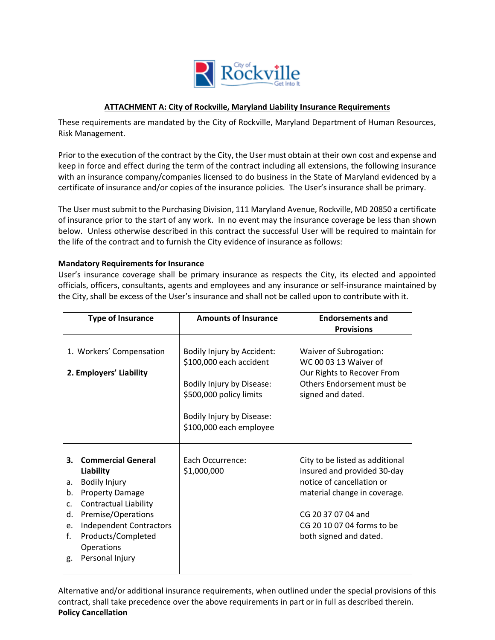

## **ATTACHMENT A: City of Rockville, Maryland Liability Insurance Requirements**

These requirements are mandated by the City of Rockville, Maryland Department of Human Resources, Risk Management.

Prior to the execution of the contract by the City, the User must obtain at their own cost and expense and keep in force and effect during the term of the contract including all extensions, the following insurance with an insurance company/companies licensed to do business in the State of Maryland evidenced by a certificate of insurance and/or copies of the insurance policies. The User's insurance shall be primary.

The User must submit to the Purchasing Division, 111 Maryland Avenue, Rockville, MD 20850 a certificate of insurance prior to the start of any work. In no event may the insurance coverage be less than shown below. Unless otherwise described in this contract the successful User will be required to maintain for the life of the contract and to furnish the City evidence of insurance as follows:

### **Mandatory Requirements for Insurance**

User's insurance coverage shall be primary insurance as respects the City, its elected and appointed officials, officers, consultants, agents and employees and any insurance or self-insurance maintained by the City, shall be excess of the User's insurance and shall not be called upon to contribute with it.

| <b>Type of Insurance</b>                                                                                                                                                                                                                                                                | <b>Amounts of Insurance</b>                                                                                                                                           | <b>Endorsements and</b><br><b>Provisions</b>                                                                                                                                                              |
|-----------------------------------------------------------------------------------------------------------------------------------------------------------------------------------------------------------------------------------------------------------------------------------------|-----------------------------------------------------------------------------------------------------------------------------------------------------------------------|-----------------------------------------------------------------------------------------------------------------------------------------------------------------------------------------------------------|
| 1. Workers' Compensation<br>2. Employers' Liability                                                                                                                                                                                                                                     | Bodily Injury by Accident:<br>\$100,000 each accident<br>Bodily Injury by Disease:<br>\$500,000 policy limits<br>Bodily Injury by Disease:<br>\$100,000 each employee | Waiver of Subrogation:<br>WC 00 03 13 Waiver of<br>Our Rights to Recover From<br>Others Endorsement must be<br>signed and dated.                                                                          |
| <b>Commercial General</b><br>3.<br>Liability<br><b>Bodily Injury</b><br>a.<br><b>Property Damage</b><br>b.<br><b>Contractual Liability</b><br>c.<br>Premise/Operations<br>d.<br><b>Independent Contractors</b><br>e.<br>f.<br>Products/Completed<br>Operations<br>Personal Injury<br>g. | Each Occurrence:<br>\$1,000,000                                                                                                                                       | City to be listed as additional<br>insured and provided 30-day<br>notice of cancellation or<br>material change in coverage.<br>CG 20 37 07 04 and<br>CG 20 10 07 04 forms to be<br>both signed and dated. |

Alternative and/or additional insurance requirements, when outlined under the special provisions of this contract, shall take precedence over the above requirements in part or in full as described therein. **Policy Cancellation**